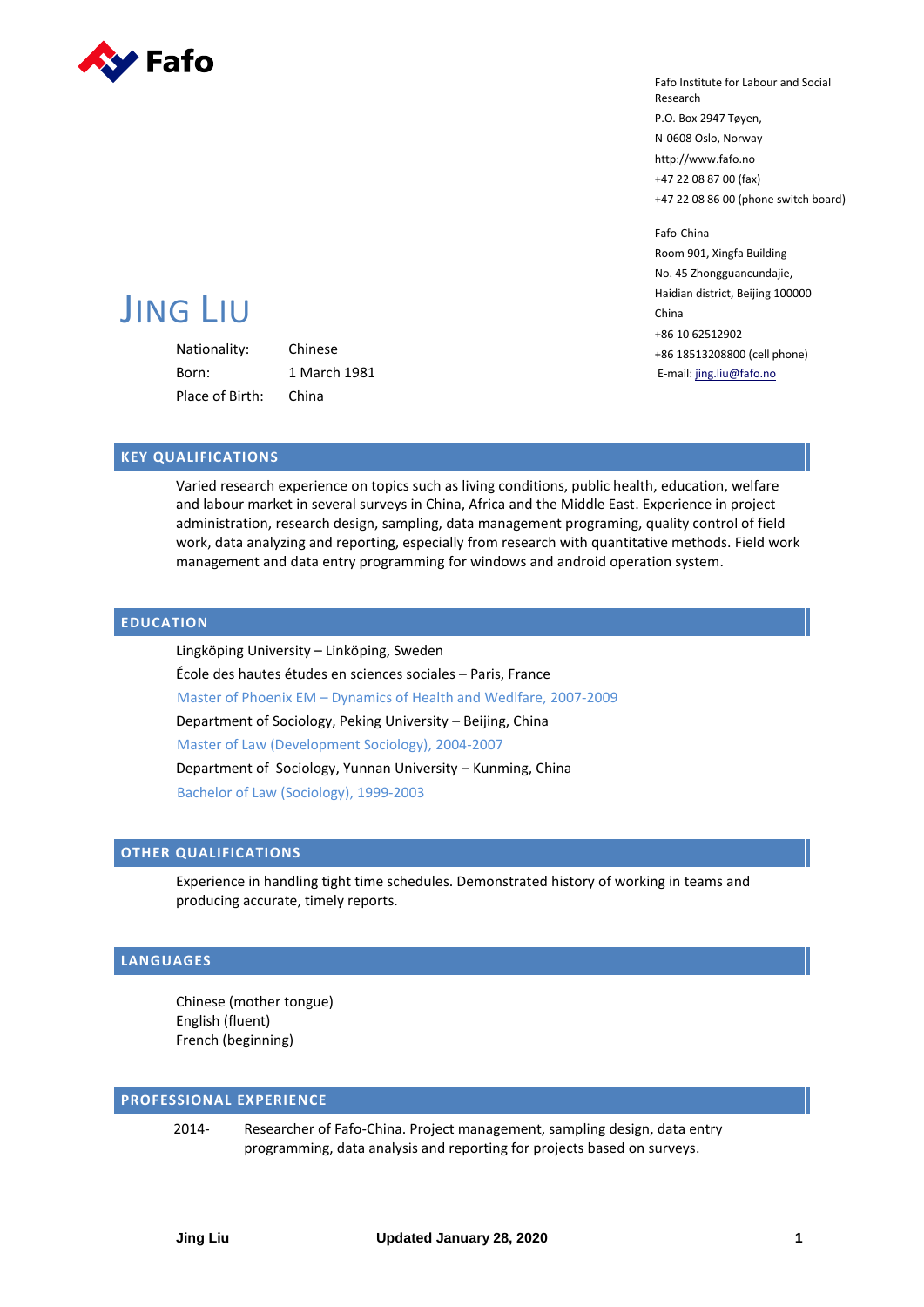

Fafo Institute for Labour and Social Research P.O. Box 2947 Tøyen, N-0608 Oslo, Norway http://www.fafo.no +47 22 08 87 00 (fax) +47 22 08 86 00 (phone switch board)

Fafo-China Room 901, Xingfa Building No. 45 Zhongguancundajie, Haidian district, Beijing 100000 China +86 10 62512902 +86 18513208800 (cell phone) E-mail[: jing.liu@fafo.no](mailto:jil@fafomail.no)

# JING LIU

Nationality: Chinese Born: 1 March 1981 Place of Birth: China

## **KEY QUALIFICATIONS**

Varied research experience on topics such as living conditions, public health, education, welfare and labour market in several surveys in China, Africa and the Middle East. Experience in project administration, research design, sampling, data management programing, quality control of field work, data analyzing and reporting, especially from research with quantitative methods. Field work management and data entry programming for windows and android operation system.

# **EDUCATION**

Lingköping University – Linköping, Sweden École des hautes études en sciences sociales – Paris, France Master of Phoenix EM – Dynamics of Health and Wedlfare, 2007-2009 Department of Sociology, Peking University – Beijing, China Master of Law (Development Sociology), 2004-2007 Department of Sociology, Yunnan University – Kunming, China Bachelor of Law (Sociology), 1999-2003

## **OTHER QUALIFICATIONS**

Experience in handling tight time schedules. Demonstrated history of working in teams and producing accurate, timely reports.

## **LANGUAGES**

Chinese (mother tongue) English (fluent) French (beginning)

## **PROFESSIONAL EXPERIENCE**

2014- Researcher of Fafo-China. Project management, sampling design, data entry programming, data analysis and reporting for projects based on surveys.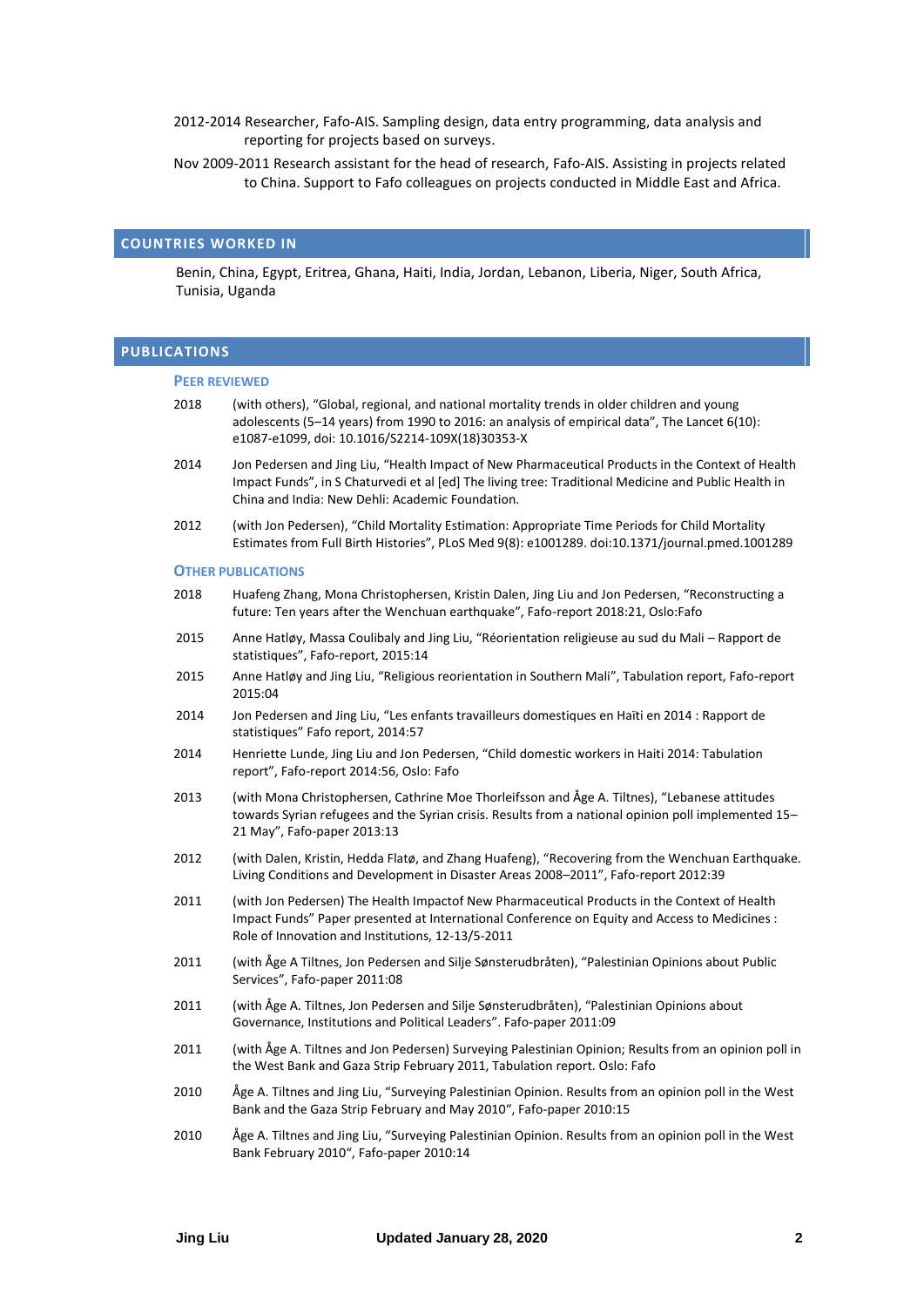- 2012-2014 Researcher, Fafo-AIS. Sampling design, data entry programming, data analysis and reporting for projects based on surveys.
- Nov 2009-2011 Research assistant for the head of research, Fafo-AIS. Assisting in projects related to China. Support to Fafo colleagues on projects conducted in Middle East and Africa.

#### **COUNTRIES WORKED IN**

Benin, China, Egypt, Eritrea, Ghana, Haiti, India, Jordan, Lebanon, Liberia, Niger, South Africa, Tunisia, Uganda

## **PUBLICATIONS**

#### **PEER REVIEWED**

- 2018 (with others), "Global, regional, and national mortality trends in older children and young adolescents (5–14 years) from 1990 to 2016: an analysis of empirical data", The Lancet 6(10): e1087-e1099, doi[: 10.1016/S2214-109X\(18\)30353-X](https://doi.org/10.1016/S2214-109X(18)30353-X)
- 2014 Jon Pedersen and Jing Liu, "Health Impact of New Pharmaceutical Products in the Context of Health Impact Funds", in S Chaturvedi et al [ed] The living tree: Traditional Medicine and Public Health in China and India: New Dehli: Academic Foundation.
- 2012 (with Jon Pedersen), "Child Mortality Estimation: Appropriate Time Periods for Child Mortality Estimates from Full Birth Histories", PLoS Med 9(8): e1001289. doi:10.1371/journal.pmed.1001289

#### **OTHER PUBLICATIONS**

- 2018 Huafeng Zhang, Mona Christophersen, Kristin Dalen, Jing Liu and Jon Pedersen, "Reconstructing a future: Ten years after the Wenchuan earthquake", Fafo-report 2018:21, Oslo:Fafo
- 2015 [Anne Hatløy](https://www.fafo.no/index.php/en/ansatte/alle-ansatte/item/aha), Massa Coulibaly and Jing Liu, "[Réorientation religieuse au sud du Mali](https://www.fafo.no/index.php/en/publications/fafo-reports/item/reorientation-religieuse-au-sud-du-mali-rapport-de-statistiques)  Rapport de [statistiques](https://www.fafo.no/index.php/en/publications/fafo-reports/item/reorientation-religieuse-au-sud-du-mali-rapport-de-statistiques)", Fafo-report, 2015:14
- 2015 [Anne Hatløy](https://www.fafo.no/index.php/en/ansatte/alle-ansatte/item/aha) and [Jing Liu](https://www.fafo.no/index.php/en/ansatte/alle-ansatte/item/jil), "Religious reorientation in Southern Mali", Tabulation report, Fafo-report 2015:04
- 2014 Jon Pedersen and Jing Liu, "[Les enfants travailleurs domestiques en Haïti en 2014 : Rapport de](https://www.fafo.no/index.php/en/publications/fafo-reports/item/les-enfants-travailleurs-domestiques-en-haiti-en-2014-rapport-de-statistiques)  [statistiques](https://www.fafo.no/index.php/en/publications/fafo-reports/item/les-enfants-travailleurs-domestiques-en-haiti-en-2014-rapport-de-statistiques)" Fafo report, 2014:57
- 2014 Henriette Lunde, Jing Liu and Jon Pedersen, "Child domestic workers in Haiti 2014: Tabulation report", Fafo-report 2014:56, Oslo: Fafo
- 2013 (with Mona Christophersen, Cathrine Moe Thorleifsson and Åge A. Tiltnes), "[Lebanese attitudes](http://www.fafo.no/pub/rapp/10179/index.html)  [towards Syrian refugees and the Syrian crisis. Results from a national opinion poll implemented 15](http://www.fafo.no/pub/rapp/10179/index.html)– [21 May](http://www.fafo.no/pub/rapp/10179/index.html)", Fafo-paper 2013:13
- 2012 (with Dalen, Kristin, Hedda Flatø, and Zhang Huafeng), "[Recovering from the Wenchuan Earthquake.](http://www.fafo.no/pub/rapp/20266/index.html)  [Living Conditions and Development in Disaster Areas 2008](http://www.fafo.no/pub/rapp/20266/index.html)–2011", Fafo-report 2012:39
- 2011 (with Jon Pedersen) The Health Impactof New Pharmaceutical Products in the Context of Health Impact Funds" Paper presented at International Conference on Equity and Access to Medicines : Role of Innovation and Institutions, 12-13/5-2011
- 2011 (with Åge A Tiltnes, Jon Pedersen and Silje Sønsterudbråten), "[Palestinian Opinions about Public](http://www.fafo.no/pub/rapp/10129/10129.pdf)  [Services](http://www.fafo.no/pub/rapp/10129/10129.pdf)", Fafo-paper 2011:08
- 2011 (with Åge A. Tiltnes, Jon Pedersen and Silje Sønsterudbråten), ["Palestinian Opinions about](http://www.fafo.no/pub/rapp/10130/10130.pdf) [Governance, Institutions and Political Leaders](http://www.fafo.no/pub/rapp/10130/10130.pdf)". Fafo-paper 2011:09
- 2011 (with Åge A. Tiltnes and Jon Pedersen) Surveying Palestinian Opinion; Results from an opinion poll in the West Bank and Gaza Strip February 2011, Tabulation report. Oslo: Fafo
- 2010 Åge A. Tiltnes and Jing Liu, "[Surveying Palestinian Opinion. Results from an opinion poll in the West](https://www.fafo.no/index.php/en/publications/fafo-notes/item/surveying-palestinian-opinion-results-from-an-opinion-poll-in-the-west-bank-and-the-gaza-strip-february-and-may-2010)  [Bank and the Gaza Strip February and May 2010](https://www.fafo.no/index.php/en/publications/fafo-notes/item/surveying-palestinian-opinion-results-from-an-opinion-poll-in-the-west-bank-and-the-gaza-strip-february-and-may-2010)", Fafo-paper 2010:15
- 2010 Åge A. Tiltnes and Jing Liu, "[Surveying Palestinian Opinion. Results from an opinion poll in the West](https://www.fafo.no/index.php/en/publications/fafo-notes/item/surveying-palestinian-opinion-results-from-an-opinion-poll-in-the-west-bank-february-2010)  [Bank February 2010](https://www.fafo.no/index.php/en/publications/fafo-notes/item/surveying-palestinian-opinion-results-from-an-opinion-poll-in-the-west-bank-february-2010)", Fafo-paper 2010:14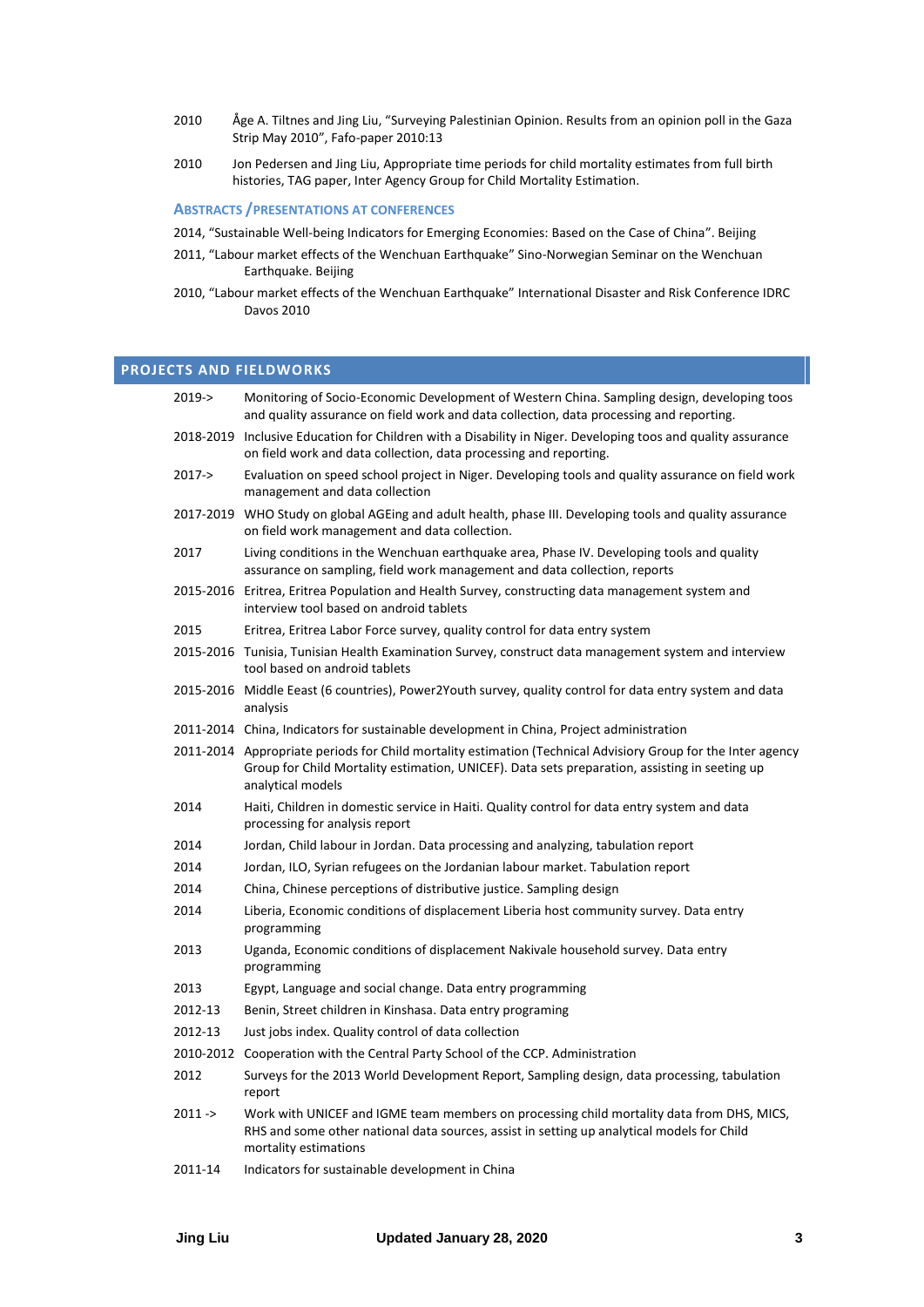- 2010 Åge A. Tiltnes and Jing Liu, "[Surveying Palestinian Opinion. Results from an opinion poll in the Gaza](https://www.fafo.no/index.php/en/publications/fafo-notes/item/surveying-palestinian-opinion-results-from-an-opinion-poll-in-the-gaza-strip-may-2010)  [Strip May 2010](https://www.fafo.no/index.php/en/publications/fafo-notes/item/surveying-palestinian-opinion-results-from-an-opinion-poll-in-the-gaza-strip-may-2010)", Fafo-paper 2010:13
- 2010 Jon Pedersen and Jing Liu, Appropriate time periods for child mortality estimates from full birth histories, TAG paper, Inter Agency Group for Child Mortality Estimation.

## **ABSTRACTS /PRESENTATIONS AT CONFERENCES**

- 2014, "Sustainable Well-being Indicators for Emerging Economies: Based on the Case of China". Beijing
- 2011, "Labour market effects of the Wenchuan Earthquake" Sino-Norwegian Seminar on the Wenchuan Earthquake. Beijing
- 2010, "Labour market effects of the Wenchuan Earthquake" International Disaster and Risk Conference IDRC Davos 2010

## **PROJECTS AND FIELDWORKS**

| 2019->     | Monitoring of Socio-Economic Development of Western China. Sampling design, developing toos<br>and quality assurance on field work and data collection, data processing and reporting.                                             |  |
|------------|------------------------------------------------------------------------------------------------------------------------------------------------------------------------------------------------------------------------------------|--|
| 2018-2019  | Inclusive Education for Children with a Disability in Niger. Developing toos and quality assurance<br>on field work and data collection, data processing and reporting.                                                            |  |
| $2017 - >$ | Evaluation on speed school project in Niger. Developing tools and quality assurance on field work<br>management and data collection                                                                                                |  |
| 2017-2019  | WHO Study on global AGEing and adult health, phase III. Developing tools and quality assurance<br>on field work management and data collection.                                                                                    |  |
| 2017       | Living conditions in the Wenchuan earthquake area, Phase IV. Developing tools and quality<br>assurance on sampling, field work management and data collection, reports                                                             |  |
|            | 2015-2016 Eritrea, Eritrea Population and Health Survey, constructing data management system and<br>interview tool based on android tablets                                                                                        |  |
| 2015       | Eritrea, Eritrea Labor Force survey, quality control for data entry system                                                                                                                                                         |  |
|            | 2015-2016 Tunisia, Tunisian Health Examination Survey, construct data management system and interview<br>tool based on android tablets                                                                                             |  |
|            | 2015-2016 Middle Eeast (6 countries), Power2Youth survey, quality control for data entry system and data<br>analysis                                                                                                               |  |
|            | 2011-2014 China, Indicators for sustainable development in China, Project administration                                                                                                                                           |  |
|            | 2011-2014 Appropriate periods for Child mortality estimation (Technical Advisiory Group for the Inter agency<br>Group for Child Mortality estimation, UNICEF). Data sets preparation, assisting in seeting up<br>analytical models |  |
| 2014       | Haiti, Children in domestic service in Haiti. Quality control for data entry system and data<br>processing for analysis report                                                                                                     |  |
| 2014       | Jordan, Child labour in Jordan. Data processing and analyzing, tabulation report                                                                                                                                                   |  |
| 2014       | Jordan, ILO, Syrian refugees on the Jordanian labour market. Tabulation report                                                                                                                                                     |  |
| 2014       | China, Chinese perceptions of distributive justice. Sampling design                                                                                                                                                                |  |
| 2014       | Liberia, Economic conditions of displacement Liberia host community survey. Data entry<br>programming                                                                                                                              |  |
| 2013       | Uganda, Economic conditions of displacement Nakivale household survey. Data entry<br>programming                                                                                                                                   |  |
| 2013       | Egypt, Language and social change. Data entry programming                                                                                                                                                                          |  |
| 2012-13    | Benin, Street children in Kinshasa. Data entry programing                                                                                                                                                                          |  |
| 2012-13    | Just jobs index. Quality control of data collection                                                                                                                                                                                |  |
| 2010-2012  | Cooperation with the Central Party School of the CCP. Administration                                                                                                                                                               |  |
| 2012       | Surveys for the 2013 World Development Report, Sampling design, data processing, tabulation<br>report                                                                                                                              |  |
| $2011 - >$ | Work with UNICEF and IGME team members on processing child mortality data from DHS, MICS,<br>RHS and some other national data sources, assist in setting up analytical models for Child<br>mortality estimations                   |  |
| 2011-14    | Indicators for sustainable development in China                                                                                                                                                                                    |  |
|            |                                                                                                                                                                                                                                    |  |